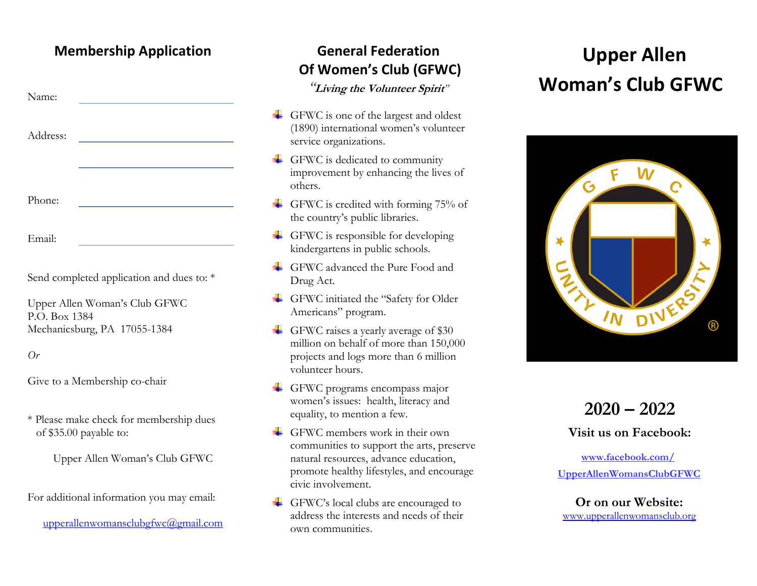#### **Membership Application**

| Name:    |  |
|----------|--|
| Address: |  |
|          |  |

Phone:

Email:

Send completed application and dues to:  $*$ 

Upper Allen Woman's Club GFWC P.O. Box 1384 Mechanicsburg, PA 17055-1384

*Or*

Give to a Membership co-chair

\* Please make check for membership dues of \$35.00 payable to:

Upper Allen Woman's Club GFWC

For additional information you may email:

[upperallenwomansclubgfwc@gmail.com](mailto:upperallenwomansclubgfwc@gmail.com)

#### **General Federation Of Women's Club (GFWC)**

*"***Living the Volunteer Spirit***"*

- GFWC is one of the largest and oldest (1890) international women's volunteer service organizations.
- $\leftarrow$  GFWC is dedicated to community improvement by enhancing the lives of others.
- GFWC is credited with forming  $75%$  of the country's public libraries.
- $\leftarrow$  GFWC is responsible for developing kindergartens in public schools.
- GFWC advanced the Pure Food and Drug Act.
- GFWC initiated the "Safety for Older Americans" program.
- GFWC raises a yearly average of  $$30$ million on behalf of more than 150,000 projects and logs more than 6 million volunteer hours.
- GFWC programs encompass major women's issues: health, literacy and equality, to mention a few.
- $\leftarrow$  GFWC members work in their own communities to support the arts, preserve natural resources, advance education, promote healthy lifestyles, and encourage civic involvement.
- GFWC's local clubs are encouraged to address the interests and needs of their own communities.

# **Upper Allen Woman's Club GFWC**



### **2020 – 2022**

**Visit us on Facebook:**

**[www.facebook.com/](http://www.facebook.com/) UpperAllenWomansClubGFWC**

[www.upperallenwomansclub.org](http://www.upperallenwomansclub.org/) **Or on our Website:**